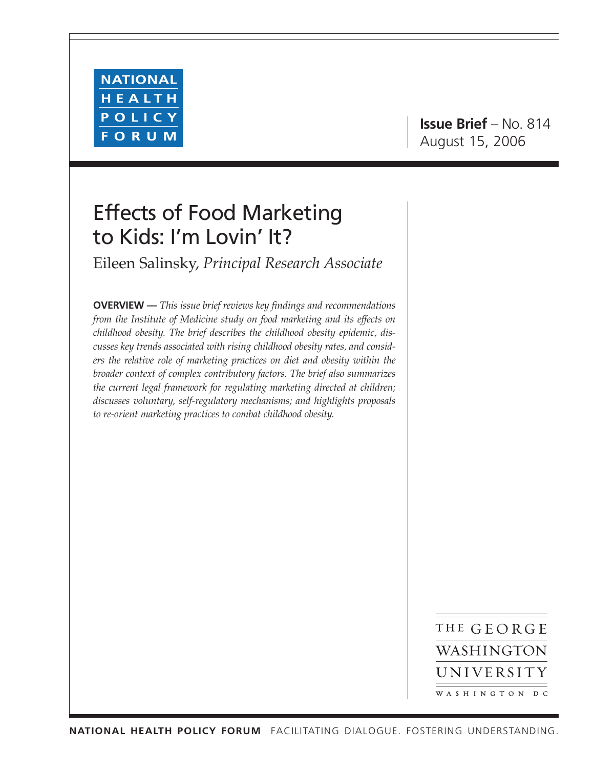

# Effects of Food Marketing to Kids: I'm Lovin' It?

Eileen Salinsky, *Principal Research Associate*

**OVERVIEW —** *This issue brief reviews key findings and recommendations from the Institute of Medicine study on food marketing and its effects on childhood obesity. The brief describes the childhood obesity epidemic, discusses key trends associated with rising childhood obesity rates, and considers the relative role of marketing practices on diet and obesity within the broader context of complex contributory factors. The brief also summarizes the current legal framework for regulating marketing directed at children; discusses voluntary, self-regulatory mechanisms; and highlights proposals to re-orient marketing practices to combat childhood obesity.*

> THE GEORGE WASHINGTON UNIVERSITY WASHINGTON DC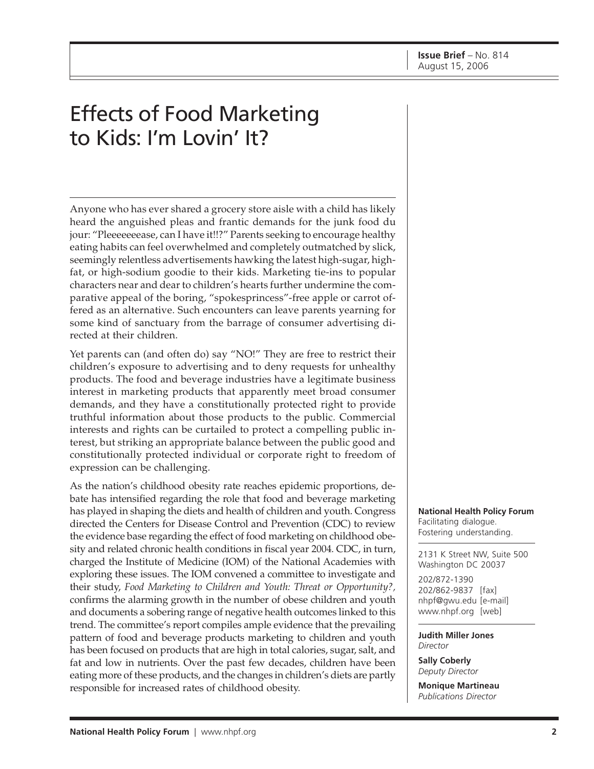# Effects of Food Marketing to Kids: I'm Lovin' It?

Anyone who has ever shared a grocery store aisle with a child has likely heard the anguished pleas and frantic demands for the junk food du jour: "Pleeeeeeease, can I have it!!?" Parents seeking to encourage healthy eating habits can feel overwhelmed and completely outmatched by slick, seemingly relentless advertisements hawking the latest high-sugar, highfat, or high-sodium goodie to their kids. Marketing tie-ins to popular characters near and dear to children's hearts further undermine the comparative appeal of the boring, "spokesprincess"-free apple or carrot offered as an alternative. Such encounters can leave parents yearning for some kind of sanctuary from the barrage of consumer advertising directed at their children.

Yet parents can (and often do) say "NO!" They are free to restrict their children's exposure to advertising and to deny requests for unhealthy products. The food and beverage industries have a legitimate business interest in marketing products that apparently meet broad consumer demands, and they have a constitutionally protected right to provide truthful information about those products to the public. Commercial interests and rights can be curtailed to protect a compelling public interest, but striking an appropriate balance between the public good and constitutionally protected individual or corporate right to freedom of expression can be challenging.

As the nation's childhood obesity rate reaches epidemic proportions, debate has intensified regarding the role that food and beverage marketing has played in shaping the diets and health of children and youth. Congress directed the Centers for Disease Control and Prevention (CDC) to review the evidence base regarding the effect of food marketing on childhood obesity and related chronic health conditions in fiscal year 2004. CDC, in turn, charged the Institute of Medicine (IOM) of the National Academies with exploring these issues. The IOM convened a committee to investigate and their study, *Food Marketing to Children and Youth: Threat or Opportunity?,* confirms the alarming growth in the number of obese children and youth and documents a sobering range of negative health outcomes linked to this trend. The committee's report compiles ample evidence that the prevailing pattern of food and beverage products marketing to children and youth has been focused on products that are high in total calories, sugar, salt, and fat and low in nutrients. Over the past few decades, children have been eating more of these products, and the changes in children's diets are partly responsible for increased rates of childhood obesity.

**National Health Policy Forum** Facilitating dialogue. Fostering understanding.

2131 K Street NW, Suite 500 Washington DC 20037

202/872-1390 202/862-9837 [fax] [nhpf@gwu.edu \[e](mailto:nhpf@gwu.edu)-mail] [www.nhpf.org \[w](http://www.nhpf.org)eb]

**Judith Miller Jones** *Director*

**Sally Coberly** *Deputy Director*

**Monique Martineau** *Publications Director*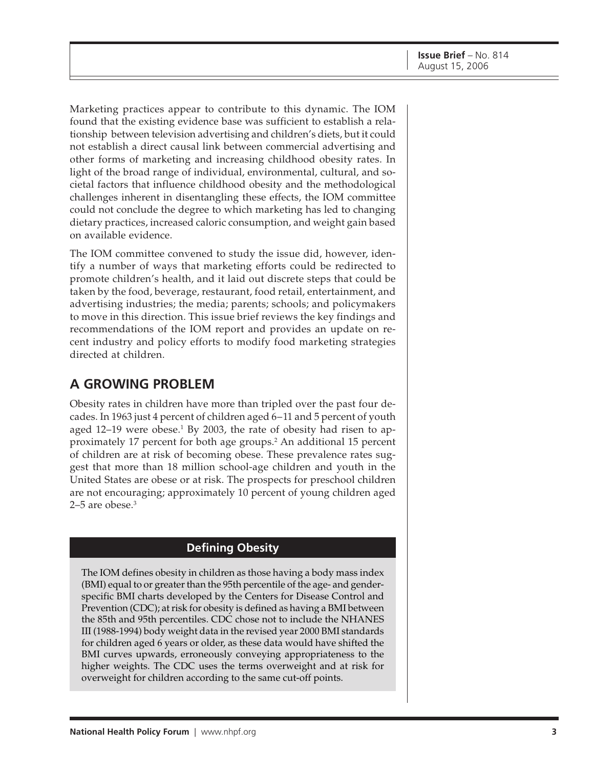Marketing practices appear to contribute to this dynamic. The IOM found that the existing evidence base was sufficient to establish a relationship between television advertising and children's diets, but it could not establish a direct causal link between commercial advertising and other forms of marketing and increasing childhood obesity rates. In light of the broad range of individual, environmental, cultural, and societal factors that influence childhood obesity and the methodological challenges inherent in disentangling these effects, the IOM committee could not conclude the degree to which marketing has led to changing dietary practices, increased caloric consumption, and weight gain based on available evidence.

The IOM committee convened to study the issue did, however, identify a number of ways that marketing efforts could be redirected to promote children's health, and it laid out discrete steps that could be taken by the food, beverage, restaurant, food retail, entertainment, and advertising industries; the media; parents; schools; and policymakers to move in this direction. This issue brief reviews the key findings and recommendations of the IOM report and provides an update on recent industry and policy efforts to modify food marketing strategies directed at children.

#### **A GROWING PROBLEM**

Obesity rates in children have more than tripled over the past four decades. In 1963 just 4 percent of children aged 6–11 and 5 percent of youth aged 12–19 were obese.<sup>1</sup> By 2003, the rate of obesity had risen to approximately 17 percent for both age groups.<sup>2</sup> An additional 15 percent of children are at risk of becoming obese. These prevalence rates suggest that more than 18 million school-age children and youth in the United States are obese or at risk. The prospects for preschool children are not encouraging; approximately 10 percent of young children aged  $2-5$  are obese.<sup>3</sup>

#### **Defining Obesity**

The IOM defines obesity in children as those having a body mass index (BMI) equal to or greater than the 95th percentile of the age- and genderspecific BMI charts developed by the Centers for Disease Control and Prevention (CDC); at risk for obesity is defined as having a BMI between the 85th and 95th percentiles. CDC chose not to include the NHANES III (1988-1994) body weight data in the revised year 2000 BMI standards for children aged 6 years or older, as these data would have shifted the BMI curves upwards, erroneously conveying appropriateness to the higher weights. The CDC uses the terms overweight and at risk for overweight for children according to the same cut-off points.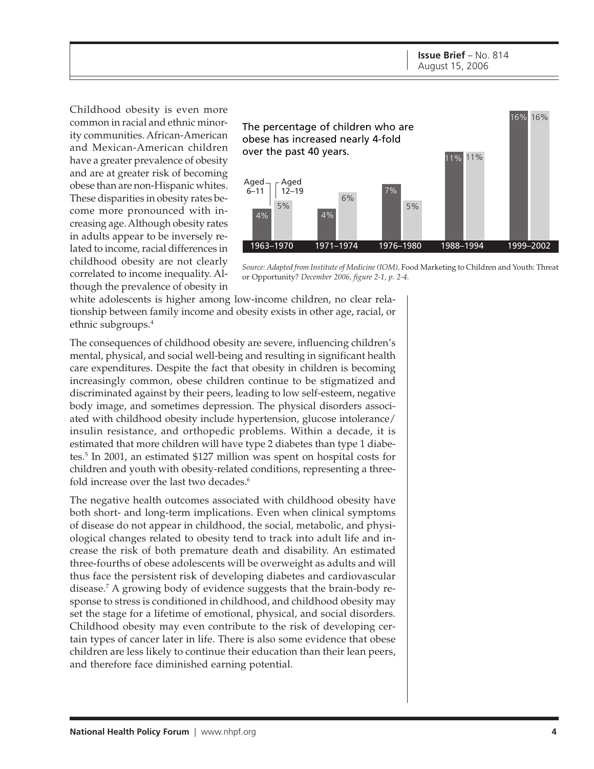Childhood obesity is even more common in racial and ethnic minority communities. African-American and Mexican-American children have a greater prevalence of obesity and are at greater risk of becoming obese than are non-Hispanic whites. These disparities in obesity rates become more pronounced with increasing age. Although obesity rates in adults appear to be inversely related to income, racial differences in childhood obesity are not clearly correlated to income inequality. Although the prevalence of obesity in



*Source: Adapted from Institute of Medicine (IOM),* Food Marketing to Children and Youth: Threat or Opportunity? *December 2006, figure 2-1, p. 2-4.*

white adolescents is higher among low-income children, no clear relationship between family income and obesity exists in other age, racial, or ethnic subgroups.4

The consequences of childhood obesity are severe, influencing children's mental, physical, and social well-being and resulting in significant health care expenditures. Despite the fact that obesity in children is becoming increasingly common, obese children continue to be stigmatized and discriminated against by their peers, leading to low self-esteem, negative body image, and sometimes depression. The physical disorders associated with childhood obesity include hypertension, glucose intolerance/ insulin resistance, and orthopedic problems. Within a decade, it is estimated that more children will have type 2 diabetes than type 1 diabetes.5 In 2001, an estimated \$127 million was spent on hospital costs for children and youth with obesity-related conditions, representing a threefold increase over the last two decades.<sup>6</sup>

The negative health outcomes associated with childhood obesity have both short- and long-term implications. Even when clinical symptoms of disease do not appear in childhood, the social, metabolic, and physiological changes related to obesity tend to track into adult life and increase the risk of both premature death and disability. An estimated three-fourths of obese adolescents will be overweight as adults and will thus face the persistent risk of developing diabetes and cardiovascular disease.7 A growing body of evidence suggests that the brain-body response to stress is conditioned in childhood, and childhood obesity may set the stage for a lifetime of emotional, physical, and social disorders. Childhood obesity may even contribute to the risk of developing certain types of cancer later in life. There is also some evidence that obese children are less likely to continue their education than their lean peers, and therefore face diminished earning potential.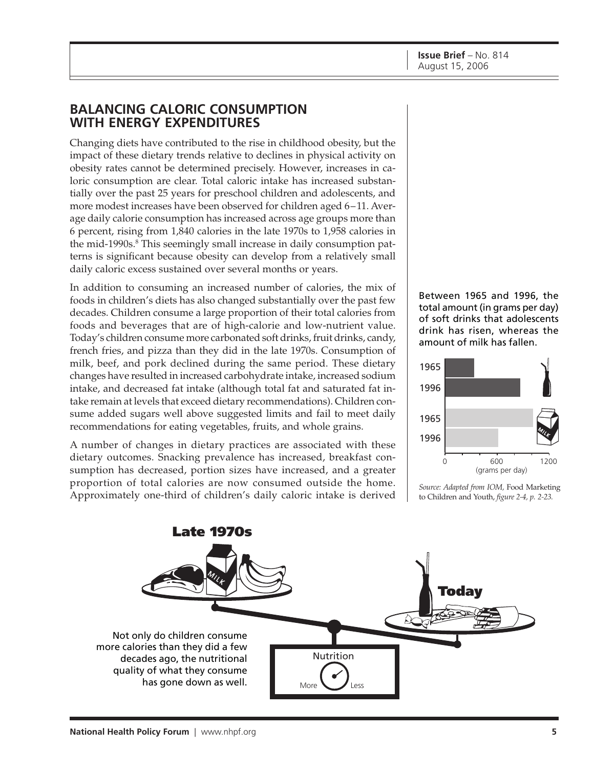#### **BALANCING CALORIC CONSUMPTION WITH ENERGY EXPENDITURES**

Changing diets have contributed to the rise in childhood obesity, but the impact of these dietary trends relative to declines in physical activity on obesity rates cannot be determined precisely. However, increases in caloric consumption are clear. Total caloric intake has increased substantially over the past 25 years for preschool children and adolescents, and more modest increases have been observed for children aged 6–11. Average daily calorie consumption has increased across age groups more than 6 percent, rising from 1,840 calories in the late 1970s to 1,958 calories in the mid-1990s.<sup>8</sup> This seemingly small increase in daily consumption patterns is significant because obesity can develop from a relatively small daily caloric excess sustained over several months or years.

In addition to consuming an increased number of calories, the mix of foods in children's diets has also changed substantially over the past few decades. Children consume a large proportion of their total calories from foods and beverages that are of high-calorie and low-nutrient value. Today's children consume more carbonated soft drinks, fruit drinks, candy, french fries, and pizza than they did in the late 1970s. Consumption of milk, beef, and pork declined during the same period. These dietary changes have resulted in increased carbohydrate intake, increased sodium intake, and decreased fat intake (although total fat and saturated fat intake remain at levels that exceed dietary recommendations). Children consume added sugars well above suggested limits and fail to meet daily recommendations for eating vegetables, fruits, and whole grains.

A number of changes in dietary practices are associated with these dietary outcomes. Snacking prevalence has increased, breakfast consumption has decreased, portion sizes have increased, and a greater proportion of total calories are now consumed outside the home. Approximately one-third of children's daily caloric intake is derived *Source: Adapted from IOM,* Food Marketing

Between 1965 and 1996, the total amount (in grams per day) of soft drinks that adolescents drink has risen, whereas the amount of milk has fallen.





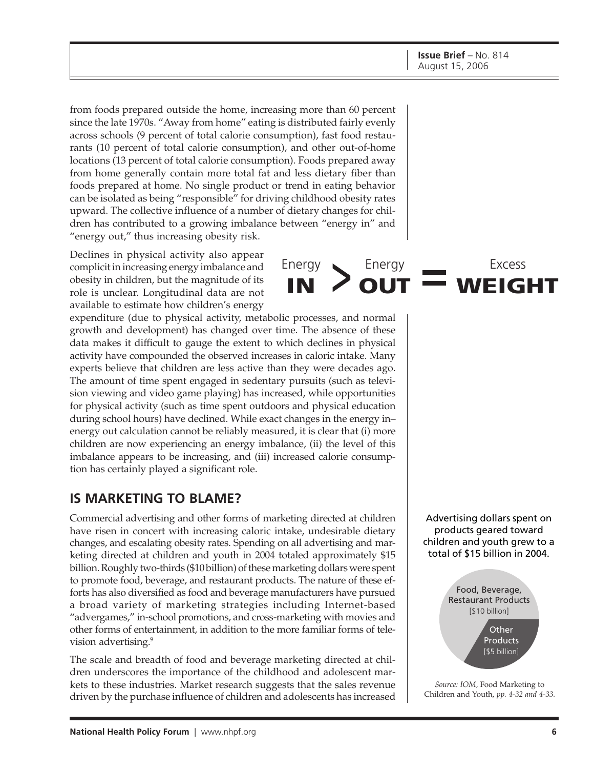from foods prepared outside the home, increasing more than 60 percent since the late 1970s. "Away from home" eating is distributed fairly evenly across schools (9 percent of total calorie consumption), fast food restaurants (10 percent of total calorie consumption), and other out-of-home locations (13 percent of total calorie consumption). Foods prepared away from home generally contain more total fat and less dietary fiber than foods prepared at home. No single product or trend in eating behavior can be isolated as being "responsible" for driving childhood obesity rates upward. The collective influence of a number of dietary changes for children has contributed to a growing imbalance between "energy in" and "energy out," thus increasing obesity risk.

Energy

Energy **OUT**

**IN**

Declines in physical activity also appear complicit in increasing energy imbalance and obesity in children, but the magnitude of its role is unclear. Longitudinal data are not available to estimate how children's energy

expenditure (due to physical activity, metabolic processes, and normal growth and development) has changed over time. The absence of these data makes it difficult to gauge the extent to which declines in physical activity have compounded the observed increases in caloric intake. Many experts believe that children are less active than they were decades ago. The amount of time spent engaged in sedentary pursuits (such as television viewing and video game playing) has increased, while opportunities for physical activity (such as time spent outdoors and physical education during school hours) have declined. While exact changes in the energy in– energy out calculation cannot be reliably measured, it is clear that (i) more children are now experiencing an energy imbalance, (ii) the level of this imbalance appears to be increasing, and (iii) increased calorie consumption has certainly played a significant role.

#### **IS MARKETING TO BLAME?**

Commercial advertising and other forms of marketing directed at children have risen in concert with increasing caloric intake, undesirable dietary changes, and escalating obesity rates. Spending on all advertising and marketing directed at children and youth in 2004 totaled approximately \$15 billion. Roughly two-thirds (\$10 billion) of these marketing dollars were spent to promote food, beverage, and restaurant products. The nature of these efforts has also diversified as food and beverage manufacturers have pursued a broad variety of marketing strategies including Internet-based "advergames," in-school promotions, and cross-marketing with movies and other forms of entertainment, in addition to the more familiar forms of television advertising.9

The scale and breadth of food and beverage marketing directed at children underscores the importance of the childhood and adolescent markets to these industries. Market research suggests that the sales revenue driven by the purchase influence of children and adolescents has increased

Advertising dollars spent on products geared toward children and youth grew to a total of \$15 billion in 2004.

Excess

**WEIGHT**



*Source: IOM,* Food Marketing to Children and Youth, *pp. 4-32 and 4-33.*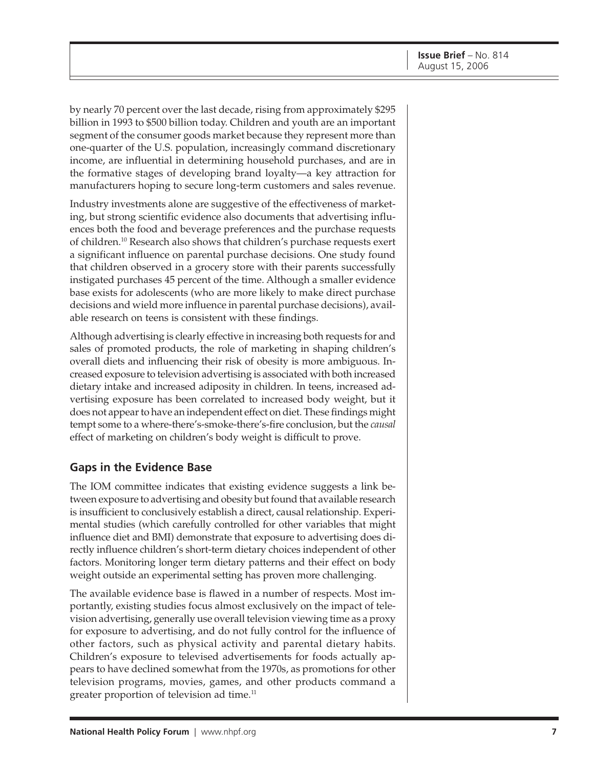by nearly 70 percent over the last decade, rising from approximately \$295 billion in 1993 to \$500 billion today. Children and youth are an important segment of the consumer goods market because they represent more than one-quarter of the U.S. population, increasingly command discretionary income, are influential in determining household purchases, and are in the formative stages of developing brand loyalty—a key attraction for manufacturers hoping to secure long-term customers and sales revenue.

Industry investments alone are suggestive of the effectiveness of marketing, but strong scientific evidence also documents that advertising influences both the food and beverage preferences and the purchase requests of children.10 Research also shows that children's purchase requests exert a significant influence on parental purchase decisions. One study found that children observed in a grocery store with their parents successfully instigated purchases 45 percent of the time. Although a smaller evidence base exists for adolescents (who are more likely to make direct purchase decisions and wield more influence in parental purchase decisions), available research on teens is consistent with these findings.

Although advertising is clearly effective in increasing both requests for and sales of promoted products, the role of marketing in shaping children's overall diets and influencing their risk of obesity is more ambiguous. Increased exposure to television advertising is associated with both increased dietary intake and increased adiposity in children. In teens, increased advertising exposure has been correlated to increased body weight, but it does not appear to have an independent effect on diet. These findings might tempt some to a where-there's-smoke-there's-fire conclusion, but the *causal* effect of marketing on children's body weight is difficult to prove.

#### **Gaps in the Evidence Base**

The IOM committee indicates that existing evidence suggests a link between exposure to advertising and obesity but found that available research is insufficient to conclusively establish a direct, causal relationship. Experimental studies (which carefully controlled for other variables that might influence diet and BMI) demonstrate that exposure to advertising does directly influence children's short-term dietary choices independent of other factors. Monitoring longer term dietary patterns and their effect on body weight outside an experimental setting has proven more challenging.

The available evidence base is flawed in a number of respects. Most importantly, existing studies focus almost exclusively on the impact of television advertising, generally use overall television viewing time as a proxy for exposure to advertising, and do not fully control for the influence of other factors, such as physical activity and parental dietary habits. Children's exposure to televised advertisements for foods actually appears to have declined somewhat from the 1970s, as promotions for other television programs, movies, games, and other products command a greater proportion of television ad time.<sup>11</sup>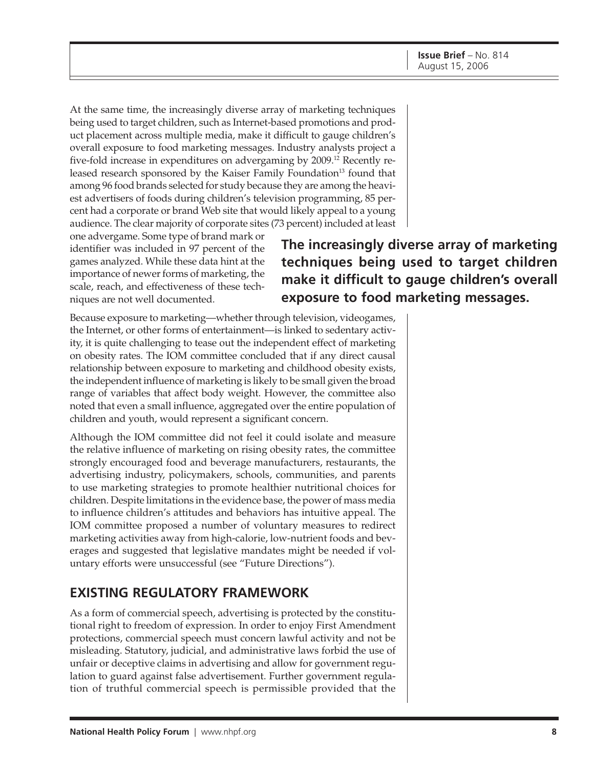At the same time, the increasingly diverse array of marketing techniques being used to target children, such as Internet-based promotions and product placement across multiple media, make it difficult to gauge children's overall exposure to food marketing messages. Industry analysts project a five-fold increase in expenditures on advergaming by 2009.12 Recently released research sponsored by the Kaiser Family Foundation<sup>13</sup> found that among 96 food brands selected for study because they are among the heaviest advertisers of foods during children's television programming, 85 percent had a corporate or brand Web site that would likely appeal to a young audience. The clear majority of corporate sites (73 percent) included at least

one advergame. Some type of brand mark or identifier was included in 97 percent of the games analyzed. While these data hint at the importance of newer forms of marketing, the scale, reach, and effectiveness of these techniques are not well documented.

**The increasingly diverse array of marketing techniques being used to target children make it difficult to gauge children's overall exposure to food marketing messages.**

Because exposure to marketing—whether through television, videogames, the Internet, or other forms of entertainment—is linked to sedentary activity, it is quite challenging to tease out the independent effect of marketing on obesity rates. The IOM committee concluded that if any direct causal relationship between exposure to marketing and childhood obesity exists, the independent influence of marketing is likely to be small given the broad range of variables that affect body weight. However, the committee also noted that even a small influence, aggregated over the entire population of children and youth, would represent a significant concern.

Although the IOM committee did not feel it could isolate and measure the relative influence of marketing on rising obesity rates, the committee strongly encouraged food and beverage manufacturers, restaurants, the advertising industry, policymakers, schools, communities, and parents to use marketing strategies to promote healthier nutritional choices for children. Despite limitations in the evidence base, the power of mass media to influence children's attitudes and behaviors has intuitive appeal. The IOM committee proposed a number of voluntary measures to redirect marketing activities away from high-calorie, low-nutrient foods and beverages and suggested that legislative mandates might be needed if voluntary efforts were unsuccessful (see "Future Directions").

#### **EXISTING REGULATORY FRAMEWORK**

As a form of commercial speech, advertising is protected by the constitutional right to freedom of expression. In order to enjoy First Amendment protections, commercial speech must concern lawful activity and not be misleading. Statutory, judicial, and administrative laws forbid the use of unfair or deceptive claims in advertising and allow for government regulation to guard against false advertisement. Further government regulation of truthful commercial speech is permissible provided that the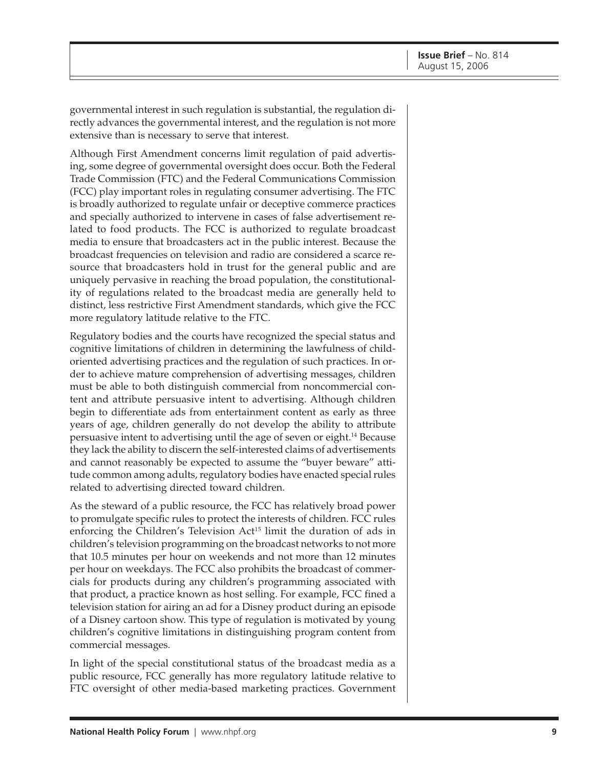governmental interest in such regulation is substantial, the regulation directly advances the governmental interest, and the regulation is not more extensive than is necessary to serve that interest.

Although First Amendment concerns limit regulation of paid advertising, some degree of governmental oversight does occur. Both the Federal Trade Commission (FTC) and the Federal Communications Commission (FCC) play important roles in regulating consumer advertising. The FTC is broadly authorized to regulate unfair or deceptive commerce practices and specially authorized to intervene in cases of false advertisement related to food products. The FCC is authorized to regulate broadcast media to ensure that broadcasters act in the public interest. Because the broadcast frequencies on television and radio are considered a scarce resource that broadcasters hold in trust for the general public and are uniquely pervasive in reaching the broad population, the constitutionality of regulations related to the broadcast media are generally held to distinct, less restrictive First Amendment standards, which give the FCC more regulatory latitude relative to the FTC.

Regulatory bodies and the courts have recognized the special status and cognitive limitations of children in determining the lawfulness of childoriented advertising practices and the regulation of such practices. In order to achieve mature comprehension of advertising messages, children must be able to both distinguish commercial from noncommercial content and attribute persuasive intent to advertising. Although children begin to differentiate ads from entertainment content as early as three years of age, children generally do not develop the ability to attribute persuasive intent to advertising until the age of seven or eight.14 Because they lack the ability to discern the self-interested claims of advertisements and cannot reasonably be expected to assume the "buyer beware" attitude common among adults, regulatory bodies have enacted special rules related to advertising directed toward children.

As the steward of a public resource, the FCC has relatively broad power to promulgate specific rules to protect the interests of children. FCC rules enforcing the Children's Television Act<sup>15</sup> limit the duration of ads in children's television programming on the broadcast networks to not more that 10.5 minutes per hour on weekends and not more than 12 minutes per hour on weekdays. The FCC also prohibits the broadcast of commercials for products during any children's programming associated with that product, a practice known as host selling. For example, FCC fined a television station for airing an ad for a Disney product during an episode of a Disney cartoon show. This type of regulation is motivated by young children's cognitive limitations in distinguishing program content from commercial messages.

In light of the special constitutional status of the broadcast media as a public resource, FCC generally has more regulatory latitude relative to FTC oversight of other media-based marketing practices. Government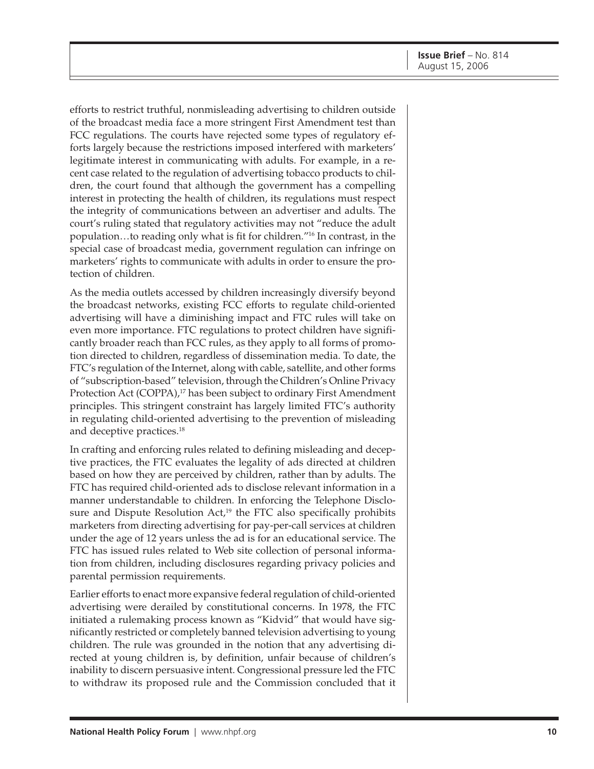efforts to restrict truthful, nonmisleading advertising to children outside of the broadcast media face a more stringent First Amendment test than FCC regulations. The courts have rejected some types of regulatory efforts largely because the restrictions imposed interfered with marketers' legitimate interest in communicating with adults. For example, in a recent case related to the regulation of advertising tobacco products to children, the court found that although the government has a compelling interest in protecting the health of children, its regulations must respect the integrity of communications between an advertiser and adults. The court's ruling stated that regulatory activities may not "reduce the adult population…to reading only what is fit for children."16 In contrast, in the special case of broadcast media, government regulation can infringe on marketers' rights to communicate with adults in order to ensure the protection of children.

As the media outlets accessed by children increasingly diversify beyond the broadcast networks, existing FCC efforts to regulate child-oriented advertising will have a diminishing impact and FTC rules will take on even more importance. FTC regulations to protect children have significantly broader reach than FCC rules, as they apply to all forms of promotion directed to children, regardless of dissemination media. To date, the FTC's regulation of the Internet, along with cable, satellite, and other forms of "subscription-based" television, through the Children's Online Privacy Protection Act (COPPA),<sup>17</sup> has been subject to ordinary First Amendment principles. This stringent constraint has largely limited FTC's authority in regulating child-oriented advertising to the prevention of misleading and deceptive practices.<sup>18</sup>

In crafting and enforcing rules related to defining misleading and deceptive practices, the FTC evaluates the legality of ads directed at children based on how they are perceived by children, rather than by adults. The FTC has required child-oriented ads to disclose relevant information in a manner understandable to children. In enforcing the Telephone Disclosure and Dispute Resolution  $Act<sub>19</sub><sup>19</sup>$  the FTC also specifically prohibits marketers from directing advertising for pay-per-call services at children under the age of 12 years unless the ad is for an educational service. The FTC has issued rules related to Web site collection of personal information from children, including disclosures regarding privacy policies and parental permission requirements.

Earlier efforts to enact more expansive federal regulation of child-oriented advertising were derailed by constitutional concerns. In 1978, the FTC initiated a rulemaking process known as "Kidvid" that would have significantly restricted or completely banned television advertising to young children. The rule was grounded in the notion that any advertising directed at young children is, by definition, unfair because of children's inability to discern persuasive intent. Congressional pressure led the FTC to withdraw its proposed rule and the Commission concluded that it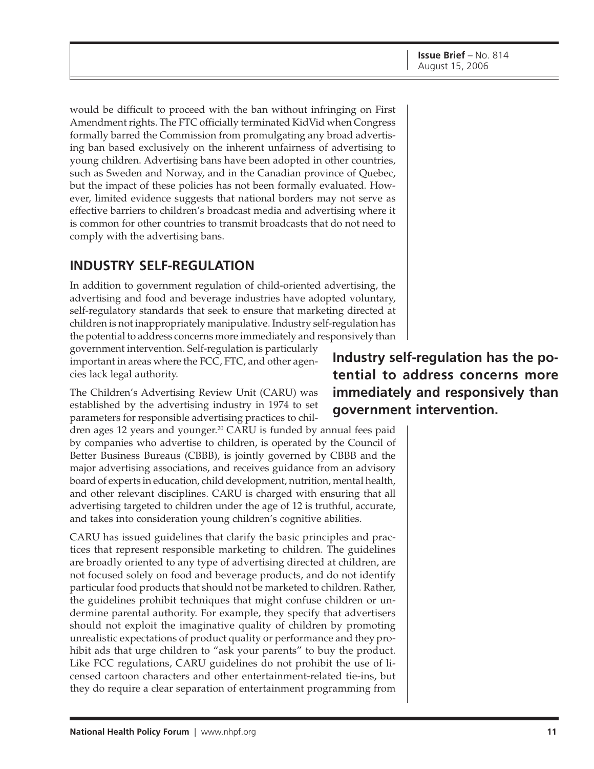would be difficult to proceed with the ban without infringing on First Amendment rights. The FTC officially terminated KidVid when Congress formally barred the Commission from promulgating any broad advertising ban based exclusively on the inherent unfairness of advertising to young children. Advertising bans have been adopted in other countries, such as Sweden and Norway, and in the Canadian province of Quebec, but the impact of these policies has not been formally evaluated. However, limited evidence suggests that national borders may not serve as effective barriers to children's broadcast media and advertising where it is common for other countries to transmit broadcasts that do not need to comply with the advertising bans.

## **INDUSTRY SELF-REGULATION**

In addition to government regulation of child-oriented advertising, the advertising and food and beverage industries have adopted voluntary, self-regulatory standards that seek to ensure that marketing directed at children is not inappropriately manipulative. Industry self-regulation has the potential to address concerns more immediately and responsively than

government intervention. Self-regulation is particularly important in areas where the FCC, FTC, and other agencies lack legal authority.

The Children's Advertising Review Unit (CARU) was established by the advertising industry in 1974 to set parameters for responsible advertising practices to chil-

dren ages 12 years and younger.20 CARU is funded by annual fees paid by companies who advertise to children, is operated by the Council of Better Business Bureaus (CBBB), is jointly governed by CBBB and the major advertising associations, and receives guidance from an advisory board of experts in education, child development, nutrition, mental health, and other relevant disciplines. CARU is charged with ensuring that all advertising targeted to children under the age of 12 is truthful, accurate, and takes into consideration young children's cognitive abilities.

CARU has issued guidelines that clarify the basic principles and practices that represent responsible marketing to children. The guidelines are broadly oriented to any type of advertising directed at children, are not focused solely on food and beverage products, and do not identify particular food products that should not be marketed to children. Rather, the guidelines prohibit techniques that might confuse children or undermine parental authority. For example, they specify that advertisers should not exploit the imaginative quality of children by promoting unrealistic expectations of product quality or performance and they prohibit ads that urge children to "ask your parents" to buy the product. Like FCC regulations, CARU guidelines do not prohibit the use of licensed cartoon characters and other entertainment-related tie-ins, but they do require a clear separation of entertainment programming from

**Industry self-regulation has the potential to address concerns more immediately and responsively than government intervention.**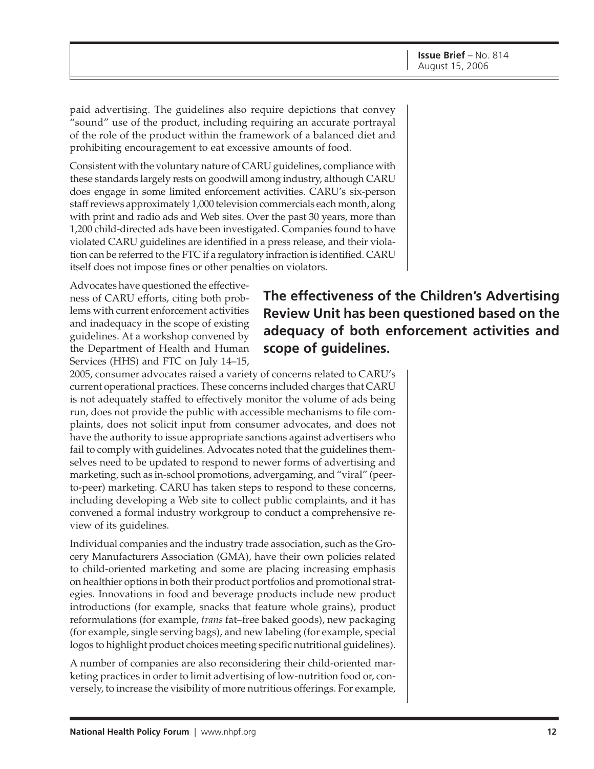paid advertising. The guidelines also require depictions that convey "sound" use of the product, including requiring an accurate portrayal of the role of the product within the framework of a balanced diet and prohibiting encouragement to eat excessive amounts of food.

Consistent with the voluntary nature of CARU guidelines, compliance with these standards largely rests on goodwill among industry, although CARU does engage in some limited enforcement activities. CARU's six-person staff reviews approximately 1,000 television commercials each month, along with print and radio ads and Web sites. Over the past 30 years, more than 1,200 child-directed ads have been investigated. Companies found to have violated CARU guidelines are identified in a press release, and their violation can be referred to the FTC if a regulatory infraction is identified. CARU itself does not impose fines or other penalties on violators.

Advocates have questioned the effectiveness of CARU efforts, citing both problems with current enforcement activities and inadequacy in the scope of existing guidelines. At a workshop convened by the Department of Health and Human Services (HHS) and FTC on July 14–15,

2005, consumer advocates raised a variety of concerns related to CARU's current operational practices. These concerns included charges that CARU is not adequately staffed to effectively monitor the volume of ads being run, does not provide the public with accessible mechanisms to file complaints, does not solicit input from consumer advocates, and does not have the authority to issue appropriate sanctions against advertisers who fail to comply with guidelines. Advocates noted that the guidelines themselves need to be updated to respond to newer forms of advertising and marketing, such as in-school promotions, advergaming, and "viral" (peerto-peer) marketing. CARU has taken steps to respond to these concerns, including developing a Web site to collect public complaints, and it has convened a formal industry workgroup to conduct a comprehensive review of its guidelines.

Individual companies and the industry trade association, such as the Grocery Manufacturers Association (GMA), have their own policies related to child-oriented marketing and some are placing increasing emphasis on healthier options in both their product portfolios and promotional strategies. Innovations in food and beverage products include new product introductions (for example, snacks that feature whole grains), product reformulations (for example, *trans* fat–free baked goods), new packaging (for example, single serving bags), and new labeling (for example, special logos to highlight product choices meeting specific nutritional guidelines).

A number of companies are also reconsidering their child-oriented marketing practices in order to limit advertising of low-nutrition food or, conversely, to increase the visibility of more nutritious offerings. For example,

# **The effectiveness of the Children's Advertising Review Unit has been questioned based on the adequacy of both enforcement activities and scope of guidelines.**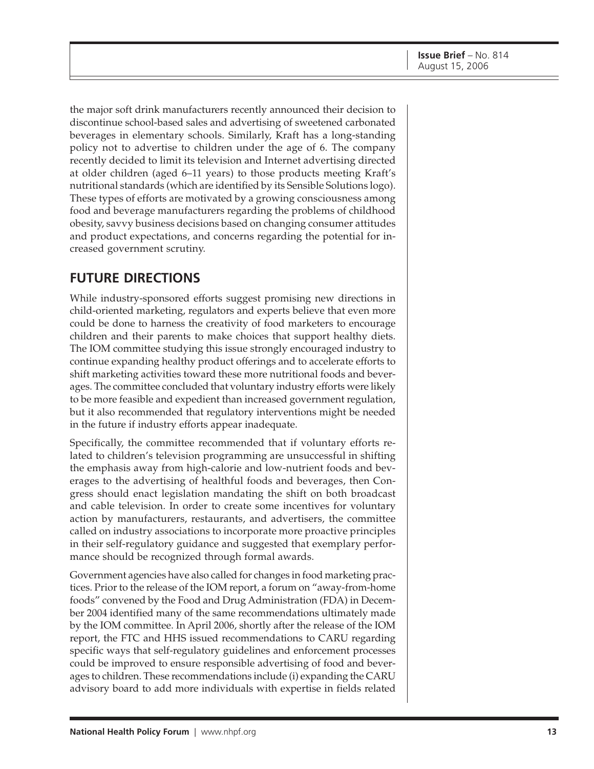the major soft drink manufacturers recently announced their decision to discontinue school-based sales and advertising of sweetened carbonated beverages in elementary schools. Similarly, Kraft has a long-standing policy not to advertise to children under the age of 6. The company recently decided to limit its television and Internet advertising directed at older children (aged 6–11 years) to those products meeting Kraft's nutritional standards (which are identified by its Sensible Solutions logo). These types of efforts are motivated by a growing consciousness among food and beverage manufacturers regarding the problems of childhood obesity, savvy business decisions based on changing consumer attitudes and product expectations, and concerns regarding the potential for increased government scrutiny.

### **FUTURE DIRECTIONS**

While industry-sponsored efforts suggest promising new directions in child-oriented marketing, regulators and experts believe that even more could be done to harness the creativity of food marketers to encourage children and their parents to make choices that support healthy diets. The IOM committee studying this issue strongly encouraged industry to continue expanding healthy product offerings and to accelerate efforts to shift marketing activities toward these more nutritional foods and beverages. The committee concluded that voluntary industry efforts were likely to be more feasible and expedient than increased government regulation, but it also recommended that regulatory interventions might be needed in the future if industry efforts appear inadequate.

Specifically, the committee recommended that if voluntary efforts related to children's television programming are unsuccessful in shifting the emphasis away from high-calorie and low-nutrient foods and beverages to the advertising of healthful foods and beverages, then Congress should enact legislation mandating the shift on both broadcast and cable television. In order to create some incentives for voluntary action by manufacturers, restaurants, and advertisers, the committee called on industry associations to incorporate more proactive principles in their self-regulatory guidance and suggested that exemplary performance should be recognized through formal awards.

Government agencies have also called for changes in food marketing practices. Prior to the release of the IOM report, a forum on "away-from-home foods" convened by the Food and Drug Administration (FDA) in December 2004 identified many of the same recommendations ultimately made by the IOM committee. In April 2006, shortly after the release of the IOM report, the FTC and HHS issued recommendations to CARU regarding specific ways that self-regulatory guidelines and enforcement processes could be improved to ensure responsible advertising of food and beverages to children. These recommendations include (i) expanding the CARU advisory board to add more individuals with expertise in fields related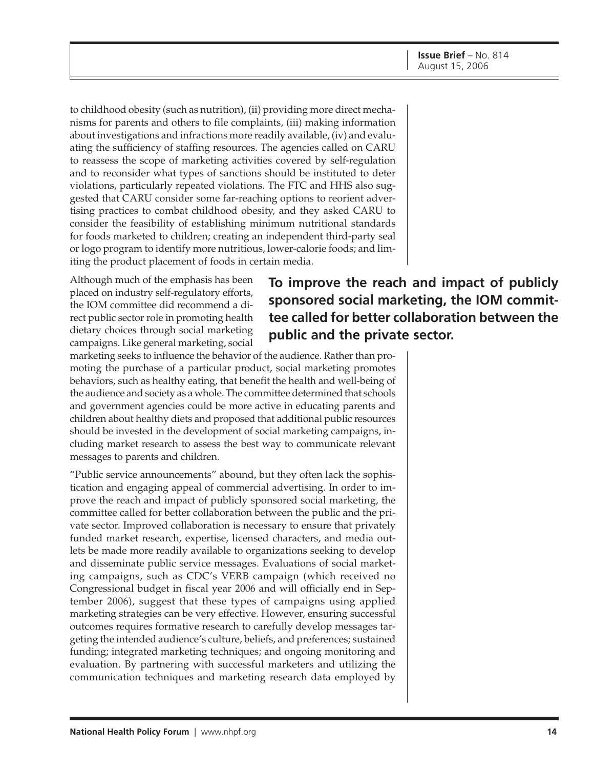to childhood obesity (such as nutrition), (ii) providing more direct mechanisms for parents and others to file complaints, (iii) making information about investigations and infractions more readily available, (iv) and evaluating the sufficiency of staffing resources. The agencies called on CARU to reassess the scope of marketing activities covered by self-regulation and to reconsider what types of sanctions should be instituted to deter violations, particularly repeated violations. The FTC and HHS also suggested that CARU consider some far-reaching options to reorient advertising practices to combat childhood obesity, and they asked CARU to consider the feasibility of establishing minimum nutritional standards for foods marketed to children; creating an independent third-party seal or logo program to identify more nutritious, lower-calorie foods; and limiting the product placement of foods in certain media.

Although much of the emphasis has been placed on industry self-regulatory efforts, the IOM committee did recommend a direct public sector role in promoting health dietary choices through social marketing campaigns. Like general marketing, social

**To improve the reach and impact of publicly sponsored social marketing, the IOM committee called for better collaboration between the public and the private sector.**

marketing seeks to influence the behavior of the audience. Rather than promoting the purchase of a particular product, social marketing promotes behaviors, such as healthy eating, that benefit the health and well-being of the audience and society as a whole. The committee determined that schools and government agencies could be more active in educating parents and children about healthy diets and proposed that additional public resources should be invested in the development of social marketing campaigns, including market research to assess the best way to communicate relevant messages to parents and children.

"Public service announcements" abound, but they often lack the sophistication and engaging appeal of commercial advertising. In order to improve the reach and impact of publicly sponsored social marketing, the committee called for better collaboration between the public and the private sector. Improved collaboration is necessary to ensure that privately funded market research, expertise, licensed characters, and media outlets be made more readily available to organizations seeking to develop and disseminate public service messages. Evaluations of social marketing campaigns, such as CDC's VERB campaign (which received no Congressional budget in fiscal year 2006 and will officially end in September 2006), suggest that these types of campaigns using applied marketing strategies can be very effective. However, ensuring successful outcomes requires formative research to carefully develop messages targeting the intended audience's culture, beliefs, and preferences; sustained funding; integrated marketing techniques; and ongoing monitoring and evaluation. By partnering with successful marketers and utilizing the communication techniques and marketing research data employed by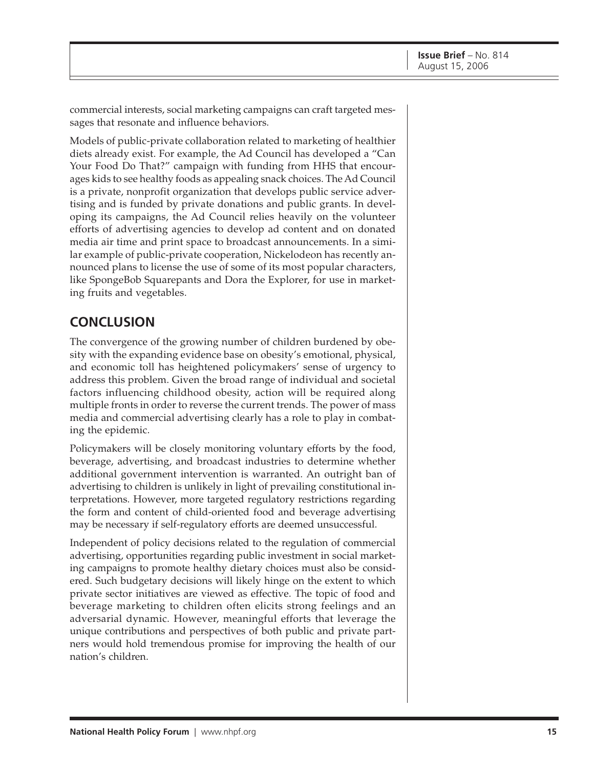commercial interests, social marketing campaigns can craft targeted messages that resonate and influence behaviors.

Models of public-private collaboration related to marketing of healthier diets already exist. For example, the Ad Council has developed a "Can Your Food Do That?" campaign with funding from HHS that encourages kids to see healthy foods as appealing snack choices. The Ad Council is a private, nonprofit organization that develops public service advertising and is funded by private donations and public grants. In developing its campaigns, the Ad Council relies heavily on the volunteer efforts of advertising agencies to develop ad content and on donated media air time and print space to broadcast announcements. In a similar example of public-private cooperation, Nickelodeon has recently announced plans to license the use of some of its most popular characters, like SpongeBob Squarepants and Dora the Explorer, for use in marketing fruits and vegetables.

## **CONCLUSION**

The convergence of the growing number of children burdened by obesity with the expanding evidence base on obesity's emotional, physical, and economic toll has heightened policymakers' sense of urgency to address this problem. Given the broad range of individual and societal factors influencing childhood obesity, action will be required along multiple fronts in order to reverse the current trends. The power of mass media and commercial advertising clearly has a role to play in combating the epidemic.

Policymakers will be closely monitoring voluntary efforts by the food, beverage, advertising, and broadcast industries to determine whether additional government intervention is warranted. An outright ban of advertising to children is unlikely in light of prevailing constitutional interpretations. However, more targeted regulatory restrictions regarding the form and content of child-oriented food and beverage advertising may be necessary if self-regulatory efforts are deemed unsuccessful.

Independent of policy decisions related to the regulation of commercial advertising, opportunities regarding public investment in social marketing campaigns to promote healthy dietary choices must also be considered. Such budgetary decisions will likely hinge on the extent to which private sector initiatives are viewed as effective. The topic of food and beverage marketing to children often elicits strong feelings and an adversarial dynamic. However, meaningful efforts that leverage the unique contributions and perspectives of both public and private partners would hold tremendous promise for improving the health of our nation's children.